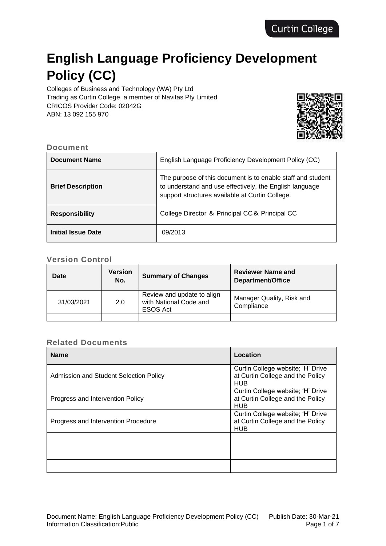# **English Language Proficiency Development Policy (CC)**

Colleges of Business and Technology (WA) Pty Ltd Trading as Curtin College, a member of Navitas Pty Limited CRICOS Provider Code: 02042G ABN: 13 092 155 970



#### **Document**

| <b>Document Name</b>     | English Language Proficiency Development Policy (CC)                                                                                                                      |
|--------------------------|---------------------------------------------------------------------------------------------------------------------------------------------------------------------------|
| <b>Brief Description</b> | The purpose of this document is to enable staff and student<br>to understand and use effectively, the English language<br>support structures available at Curtin College. |
| <b>Responsibility</b>    | College Director & Principal CC& Principal CC                                                                                                                             |
| Initial Issue Date       | 09/2013                                                                                                                                                                   |

#### **Version Control**

| Date       | <b>Version</b><br>No. | <b>Summary of Changes</b>                                               | <b>Reviewer Name and</b><br>Department/Office |
|------------|-----------------------|-------------------------------------------------------------------------|-----------------------------------------------|
| 31/03/2021 | 2.0                   | Review and update to align<br>with National Code and<br><b>ESOS Act</b> | Manager Quality, Risk and<br>Compliance       |
|            |                       |                                                                         |                                               |

#### **Related Documents**

| <b>Name</b>                            | Location                                                                            |
|----------------------------------------|-------------------------------------------------------------------------------------|
| Admission and Student Selection Policy | Curtin College website; 'H' Drive<br>at Curtin College and the Policy<br><b>HUB</b> |
| Progress and Intervention Policy       | Curtin College website; 'H' Drive<br>at Curtin College and the Policy<br><b>HUB</b> |
| Progress and Intervention Procedure    | Curtin College website; 'H' Drive<br>at Curtin College and the Policy<br><b>HUB</b> |
|                                        |                                                                                     |
|                                        |                                                                                     |
|                                        |                                                                                     |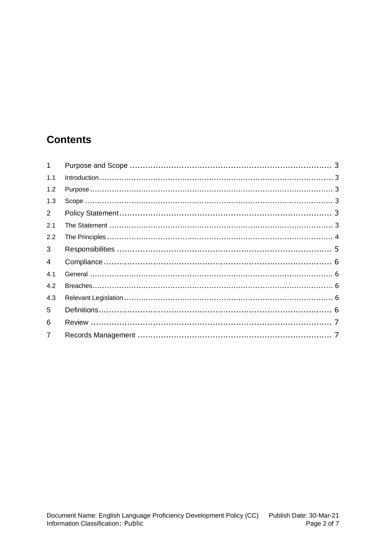## **Contents**

| 1              |  |
|----------------|--|
| 1.1            |  |
| 1.2            |  |
| 1.3            |  |
| $2^{\circ}$    |  |
| 2.1            |  |
| 2.2            |  |
| $\mathbf{3}$   |  |
| $\overline{4}$ |  |
| 4.1            |  |
| 4.2            |  |
| 4.3            |  |
| 5              |  |
| 6              |  |
| $\overline{7}$ |  |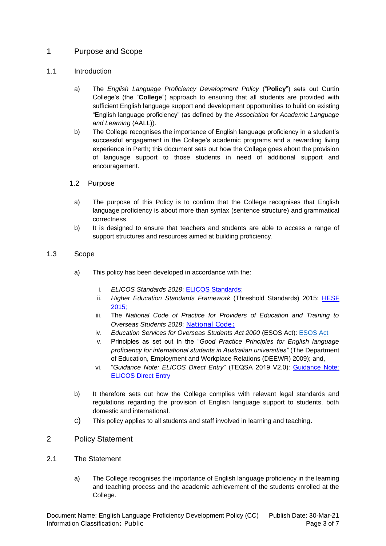#### <span id="page-2-0"></span>1 Purpose and Scope

#### <span id="page-2-1"></span>1.1 Introduction

- a) The *English Language Proficiency Development Policy* ("**Policy**") sets out Curtin College's (the "**College**") approach to ensuring that all students are provided with sufficient English language support and development opportunities to build on existing "English language proficiency" (as defined by the *Association for Academic Language and Learning* (AALL)).
- b) The College recognises the importance of English language proficiency in a student's successful engagement in the College's academic programs and a rewarding living experience in Perth; this document sets out how the College goes about the provision of language support to those students in need of additional support and encouragement.

#### <span id="page-2-2"></span>1.2 Purpose

- a) The purpose of this Policy is to confirm that the College recognises that English language proficiency is about more than syntax (sentence structure) and grammatical correctness.
- b) It is designed to ensure that teachers and students are able to access a range of support structures and resources aimed at building proficiency.

#### <span id="page-2-3"></span>1.3 Scope

- a) This policy has been developed in accordance with the:
	- i. *ELICOS Standards 2018*: [ELICOS Standards;](https://www.legislation.gov.au/Details/F2017L01349/Html/Text#_bookmark6)
	- ii. *Higher Education Standards Framework* (Threshold Standards) 2015: [HESF](https://www.legislation.gov.au/Details/F2015L01639)  [2015;](https://www.legislation.gov.au/Details/F2015L01639)
	- iii. The *National Code of Practice for Providers of Education and Training to Overseas Students 2018*: [National Code;](https://www.legislation.gov.au/Details/F2017L01182)
	- iv. *Education Services for Overseas Students Act 2000* (ESOS Act): [ESOS Act](https://www.legislation.gov.au/Details/F2010C00313)
	- v. Principles as set out in the "*Good Practice Principles for English language proficiency for international students in Australian universities"* (The Department of Education, Employment and Workplace Relations (DEEWR) 2009); and,
	- vi. "*Guidance Note: ELICOS Direct Entry*" (TEQSA 2019 V2.0): [Guidance Note:](https://www.teqsa.gov.au/latest-news/publications/guidance-note-elicos-direct-entry) [ELICOS Direct Entry](https://www.teqsa.gov.au/latest-news/publications/guidance-note-elicos-direct-entry)
- b) It therefore sets out how the College complies with relevant legal standards and regulations regarding the provision of English language support to students, both domestic and international.
- c) This policy applies to all students and staff involved in learning and teaching.

#### <span id="page-2-4"></span>2 Policy Statement

- <span id="page-2-5"></span>2.1 The Statement
	- a) The College recognises the importance of English language proficiency in the learning and teaching process and the academic achievement of the students enrolled at the College.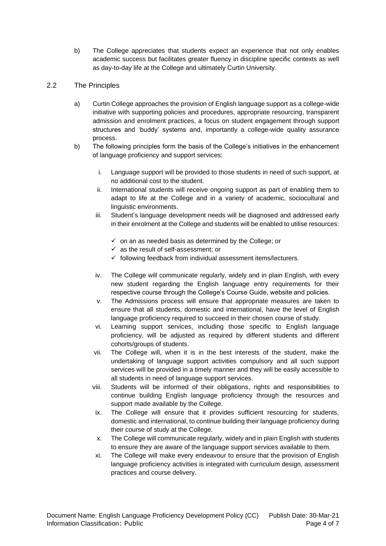- b) The College appreciates that students expect an experience that not only enables academic success but facilitates greater fluency in discipline specific contexts as well as day-to-day life at the College and ultimately Curtin University.
- <span id="page-3-0"></span>2.2 The Principles
	- a) Curtin College approaches the provision of English language support as a college-wide initiative with supporting policies and procedures, appropriate resourcing, transparent admission and enrolment practices, a focus on student engagement through support structures and 'buddy' systems and, importantly a college-wide quality assurance process.
	- b) The following principles form the basis of the College's initiatives in the enhancement of language proficiency and support services:
		- i. Language support will be provided to those students in need of such support, at no additional cost to the student.
		- ii. International students will receive ongoing support as part of enabling them to adapt to life at the College and in a variety of academic, sociocultural and linguistic environments.
		- iii. Student's language development needs will be diagnosed and addressed early in their enrolment at the College and students will be enabled to utilise resources:
			- $\checkmark$  on an as needed basis as determined by the College; or
			- $\checkmark$  as the result of self-assessment; or
			- $\checkmark$  following feedback from individual assessment items/lecturers.
		- iv. The College will communicate regularly, widely and in plain English, with every new student regarding the English language entry requirements for their respective course through the College's Course Guide, website and policies.
		- v. The Admissions process will ensure that appropriate measures are taken to ensure that all students, domestic and international, have the level of English language proficiency required to succeed in their chosen course of study.
		- vi. Learning support services, including those specific to English language proficiency, will be adjusted as required by different students and different cohorts/groups of students.
		- vii. The College will, when it is in the best interests of the student, make the undertaking of language support activities compulsory and all such support services will be provided in a timely manner and they will be easily accessible to all students in need of language support services.
		- viii. Students will be informed of their obligations, rights and responsibilities to continue building English language proficiency through the resources and support made available by the College.
		- ix. The College will ensure that it provides sufficient resourcing for students, domestic and international, to continue building their language proficiency during their course of study at the College.
		- x. The College will communicate regularly, widely and in plain English with students to ensure they are aware of the language support services available to them.
		- xi. The College will make every endeavour to ensure that the provision of English language proficiency activities is integrated with curriculum design, assessment practices and course delivery.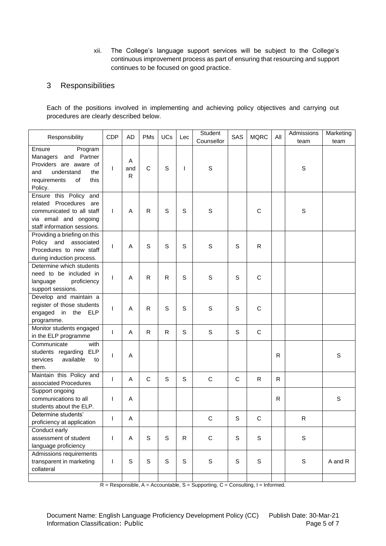xii. The College's language support services will be subject to the College's continuous improvement process as part of ensuring that resourcing and support continues to be focused on good practice.

#### <span id="page-4-0"></span>3 Responsibilities

Each of the positions involved in implementing and achieving policy objectives and carrying out procedures are clearly described below.

| Responsibility                                                                                                                           | Student<br><b>MQRC</b><br>SAS<br>Lec<br>Counsellor | <b>CDP</b><br>PMs<br><b>AD</b>                | Admissions<br>All<br>team | Marketing<br>team |
|------------------------------------------------------------------------------------------------------------------------------------------|----------------------------------------------------|-----------------------------------------------|---------------------------|-------------------|
| Ensure<br>Program<br>Managers and Partner<br>Providers are aware of<br>and<br>understand<br>the<br>requirements<br>of<br>this<br>Policy. | S                                                  | Α<br>C<br>$\mathsf{I}$<br>and<br>$\mathsf{R}$ | S                         |                   |
| Ensure this Policy<br>and<br>related Procedures are<br>communicated to all staff<br>via email and ongoing<br>staff information sessions. | S<br>$\mathsf S$<br>C                              | $\mathsf{I}$<br>R<br>A                        | S                         |                   |
| Providing a briefing on this<br>Policy and associated<br>Procedures to new staff<br>during induction process.                            | S<br>S<br>$\mathsf{R}$                             | S<br>A<br>$\mathsf{I}$                        |                           |                   |
| Determine which students<br>need to be included in<br>language<br>proficiency<br>support sessions.                                       | C<br>S<br>S                                        | A<br>R<br>$\mathbf{I}$                        |                           |                   |
| register of those students<br>engaged<br>in the<br><b>ELP</b><br>programme.                                                              | C<br>S<br>S                                        | A<br>R<br>$\mathsf{I}$                        |                           |                   |
| Monitor students engaged<br>in the ELP programme                                                                                         | $\mathsf S$<br>S<br>$\mathsf{C}$                   | A<br>R<br>$\mathsf{I}$                        |                           |                   |
| <b>ELP</b><br>students regarding<br>available<br>services<br>to<br>them.                                                                 |                                                    | A<br>$\mathsf{I}$                             | $\mathsf{R}$              | S                 |
| associated Procedures                                                                                                                    | S<br>$\mathbf C$<br>C<br>R                         | C<br>Α<br>I                                   | R                         |                   |
| communications to all<br>students about the ELP.                                                                                         |                                                    | $\mathsf{I}$<br>A                             | R                         | $\mathbb S$       |
| Determine students'<br>proficiency at application                                                                                        | $\mathbb S$<br>$\mathsf C$<br>C                    | A<br>$\mathbf{L}$                             | ${\sf R}$                 |                   |
| Conduct early<br>assessment of student<br>language proficiency                                                                           | $\mathsf S$<br>$\mathsf C$<br>$\mathbf S$<br>R     | S<br>$\overline{1}$<br>A                      | S                         |                   |
| Admissions requirements<br>transparent in marketing<br>collateral                                                                        | S<br>S<br>S<br>S                                   | S<br>S<br>$\mathsf{I}$                        | $\mathbb S$               | A and R           |
| Develop and maintain a<br>Communicate<br>with<br>Maintain this Policy and<br>Support ongoing                                             |                                                    |                                               |                           |                   |

 $R =$  Responsible, A = Accountable, S = Supporting, C = Consulting, I = Informed.

Document Name: English Language Proficiency Development Policy (CC) Publish Date: 30-Mar-21 Information Classification: Public Page 5 of 7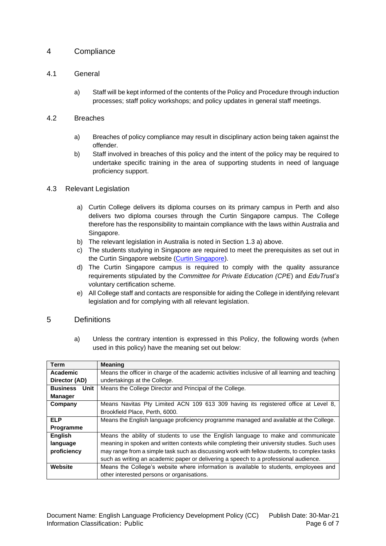#### <span id="page-5-0"></span>4 Compliance

#### <span id="page-5-1"></span>4.1 General

a) Staff will be kept informed of the contents of the Policy and Procedure through induction processes; staff policy workshops; and policy updates in general staff meetings.

#### <span id="page-5-2"></span>4.2 Breaches

- a) Breaches of policy compliance may result in disciplinary action being taken against the offender.
- b) Staff involved in breaches of this policy and the intent of the policy may be required to undertake specific training in the area of supporting students in need of language proficiency support.

#### <span id="page-5-3"></span>4.3 Relevant Legislation

- a) Curtin College delivers its diploma courses on its primary campus in Perth and also delivers two diploma courses through the Curtin Singapore campus. The College therefore has the responsibility to maintain compliance with the laws within Australia and Singapore.
- b) The relevant legislation in Australia is noted in Section 1.3 a) above.
- c) The students studying in Singapore are required to meet the prerequisites as set out in the Curtin Singapore website [\(Curtin Singapore\)](https://curtin.edu.sg/how-to-apply/admission-criteria/english-prerequisites/).
- d) The Curtin Singapore campus is required to comply with the quality assurance requirements stipulated by the *Committee for Private Education (CPE*) and *EduTrust's* voluntary certification scheme.
- e) All College staff and contacts are responsible for aiding the College in identifying relevant legislation and for complying with all relevant legislation.

#### <span id="page-5-4"></span>5 Definitions

a) Unless the contrary intention is expressed in this Policy, the following words (when used in this policy) have the meaning set out below:

| Term                    | <b>Meaning</b>                                                                                |
|-------------------------|-----------------------------------------------------------------------------------------------|
| Academic                | Means the officer in charge of the academic activities inclusive of all learning and teaching |
| Director (AD)           | undertakings at the College.                                                                  |
| <b>Business</b><br>Unit | Means the College Director and Principal of the College.                                      |
| <b>Manager</b>          |                                                                                               |
| Company                 | Means Navitas Pty Limited ACN 109 613 309 having its registered office at Level 8,            |
|                         | Brookfield Place, Perth, 6000.                                                                |
| <b>ELP</b>              | Means the English language proficiency programme managed and available at the College.        |
| <b>Programme</b>        |                                                                                               |
| <b>English</b>          | Means the ability of students to use the English language to make and communicate             |
| language                | meaning in spoken and written contexts while completing their university studies. Such uses   |
| proficiency             | may range from a simple task such as discussing work with fellow students, to complex tasks   |
|                         | such as writing an academic paper or delivering a speech to a professional audience.          |
| Website                 | Means the College's website where information is available to students, employees and         |
|                         | other interested persons or organisations.                                                    |